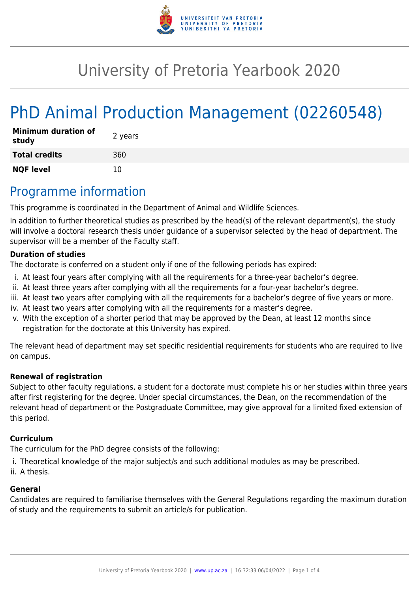

# University of Pretoria Yearbook 2020

# PhD Animal Production Management (02260548)

| <b>Minimum duration of</b><br>study | 2 years |
|-------------------------------------|---------|
| <b>Total credits</b>                | 360     |
| <b>NQF level</b>                    | 10      |

## Programme information

This programme is coordinated in the Department of Animal and Wildlife Sciences.

In addition to further theoretical studies as prescribed by the head(s) of the relevant department(s), the study will involve a doctoral research thesis under guidance of a supervisor selected by the head of department. The supervisor will be a member of the Faculty staff.

#### **Duration of studies**

The doctorate is conferred on a student only if one of the following periods has expired:

- i. At least four years after complying with all the requirements for a three-year bachelor's degree.
- ii. At least three years after complying with all the requirements for a four-year bachelor's degree.
- iii. At least two years after complying with all the requirements for a bachelor's degree of five years or more.
- iv. At least two years after complying with all the requirements for a master's degree.
- v. With the exception of a shorter period that may be approved by the Dean, at least 12 months since registration for the doctorate at this University has expired.

The relevant head of department may set specific residential requirements for students who are required to live on campus.

#### **Renewal of registration**

Subject to other faculty regulations, a student for a doctorate must complete his or her studies within three years after first registering for the degree. Under special circumstances, the Dean, on the recommendation of the relevant head of department or the Postgraduate Committee, may give approval for a limited fixed extension of this period.

#### **Curriculum**

The curriculum for the PhD degree consists of the following:

i. Theoretical knowledge of the major subject/s and such additional modules as may be prescribed.

ii. A thesis.

#### **General**

Candidates are required to familiarise themselves with the General Regulations regarding the maximum duration of study and the requirements to submit an article/s for publication.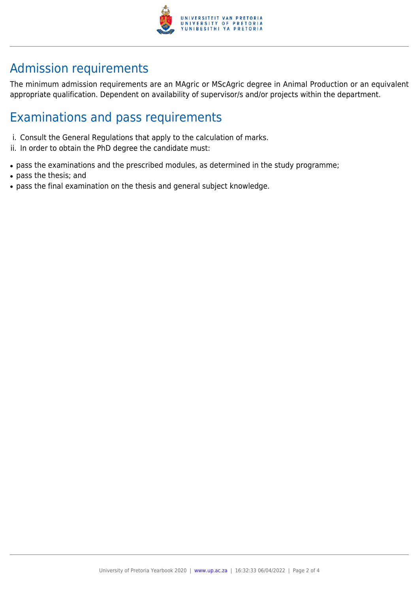

# Admission requirements

The minimum admission requirements are an MAgric or MScAgric degree in Animal Production or an equivalent appropriate qualification. Dependent on availability of supervisor/s and/or projects within the department.

## Examinations and pass requirements

- i. Consult the General Regulations that apply to the calculation of marks.
- ii. In order to obtain the PhD degree the candidate must:
- pass the examinations and the prescribed modules, as determined in the study programme;
- pass the thesis; and
- pass the final examination on the thesis and general subject knowledge.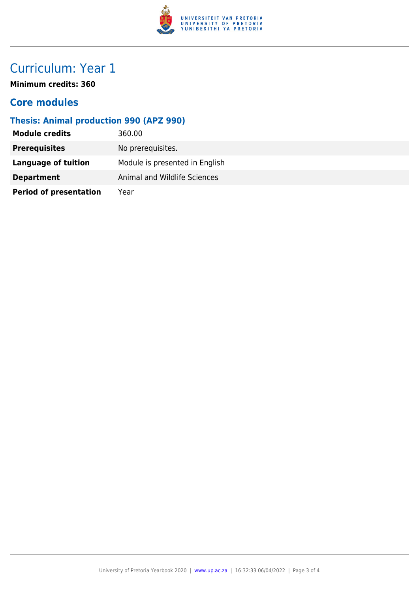

# Curriculum: Year 1

**Minimum credits: 360**

### **Core modules**

### **Thesis: Animal production 990 (APZ 990)**

| <b>Module credits</b>         | 360.00                         |
|-------------------------------|--------------------------------|
| <b>Prerequisites</b>          | No prerequisites.              |
| <b>Language of tuition</b>    | Module is presented in English |
| <b>Department</b>             | Animal and Wildlife Sciences   |
| <b>Period of presentation</b> | Year                           |